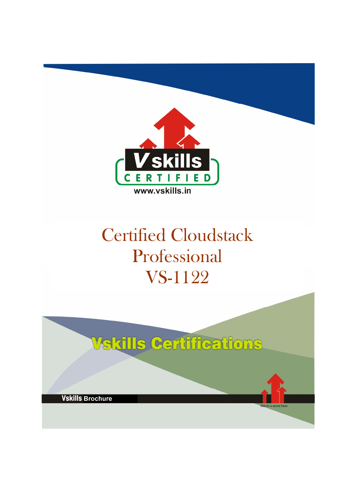

# Certified Cloudstack Professional VS-1122

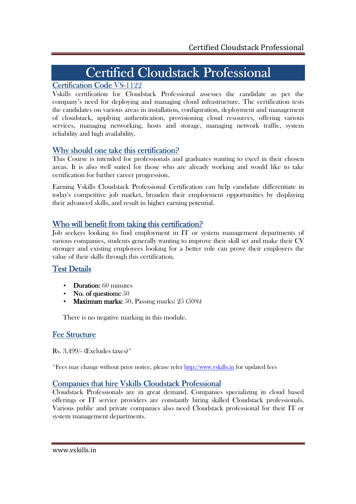## Certified Cloudstack Professional

### Certification Code VS-1122

Vskills certification for Cloudstack Professional assesses the candidate as per the company's need for deploying and managing cloud infrastructure. The certification tests the candidates on various areas in installation, configuration, deployment and management of cloudstack, applying authentication, provisioning cloud resources, offering various services, managing networking, hosts and storage, managing network traffic, system reliability and high availability.

### Why should one take this certification?

This Course is intended for professionals and graduates wanting to excel in their chosen areas. It is also well suited for those who are already working and would like to take certification for further career progression.

Earning Vskills Cloudstack Professional Certification can help candidate differentiate in today's competitive job market, broaden their employment opportunities by displaying their advanced skills, and result in higher earning potential.

#### Who will benefit from taking this certification?

Job seekers looking to find employment in IT or system management departments of various companies, students generally wanting to improve their skill set and make their CV stronger and existing employees looking for a better role can prove their employers the value of their skills through this certification.

### Test Details

- **Duration:** 60 minutes
- No. of questions:  $50$
- Maximum marks: 50, Passing marks:  $25(50\%)$

There is no negative marking in this module.

### **Fee Structure**

Rs. 3,499/- (Excludes taxes)\*

\*Fees may change without prior notice, please refer http://www.vskills.in for updated fees

### Companies that hire Vskills Cloudstack Professional

Cloudstack Professionals are in great demand. Companies specializing in cloud based offerings or IT service providers are constantly hiring skilled Cloudstack professionals. Various public and private companies also need Cloudstack professional for their IT or system management departments.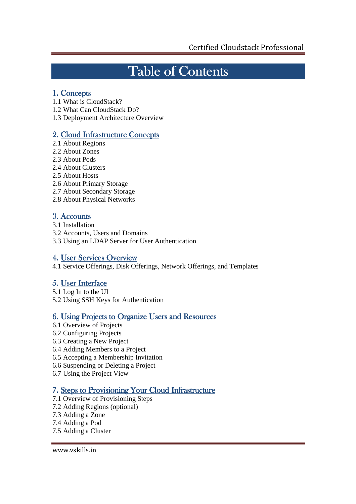# Table of Contents

### 1. Concepts

- 1.1 What is CloudStack?
- 1.2 What Can CloudStack Do?
- 1.3 Deployment Architecture Overview

## 2. Cloud Infrastructure Concepts

- 2.1 About Regions
- 2.2 About Zones
- 2.3 About Pods
- 2.4 About Clusters
- 2.5 About Hosts
- 2.6 About Primary Storage
- 2.7 About Secondary Storage
- 2.8 About Physical Networks

## 3. Accounts

- 3.1 Installation
- 3.2 Accounts, Users and Domains
- 3.3 Using an LDAP Server for User Authentication

## 4. User Services Overview

4.1 Service Offerings, Disk Offerings, Network Offerings, and Templates

## 5. User Interface

- 5.1 Log In to the UI
- 5.2 Using SSH Keys for Authentication

## 6. Using Projects to Organize Users and Resources

- 6.1 Overview of Projects
- 6.2 Configuring Projects
- 6.3 Creating a New Project
- 6.4 Adding Members to a Project
- 6.5 Accepting a Membership Invitation
- 6.6 Suspending or Deleting a Project
- 6.7 Using the Project View

## 7. Steps to Provisioning Your Cloud Infrastructure

- 7.1 Overview of Provisioning Steps
- 7.2 Adding Regions (optional)
- 7.3 Adding a Zone
- 7.4 Adding a Pod
- 7.5 Adding a Cluster

www.vskills.in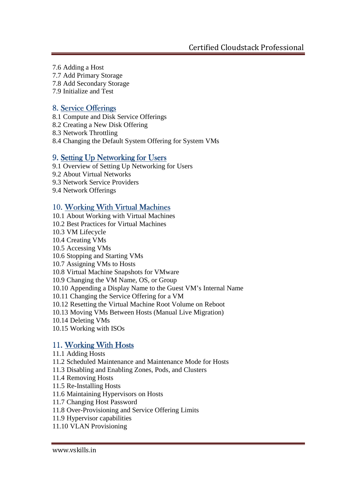- 7.6 Adding a Host
- 7.7 Add Primary Storage
- 7.8 Add Secondary Storage
- 7.9 Initialize and Test

#### 8. Service Offerings

- 8.1 Compute and Disk Service Offerings
- 8.2 Creating a New Disk Offering
- 8.3 Network Throttling
- 8.4 Changing the Default System Offering for System VMs

#### 9. Setting Up Networking for Users

- 9.1 Overview of Setting Up Networking for Users
- 9.2 About Virtual Networks
- 9.3 Network Service Providers
- 9.4 Network Offerings

#### 10. Working With Virtual Machines

- 10.1 About Working with Virtual Machines
- 10.2 Best Practices for Virtual Machines
- 10.3 VM Lifecycle
- 10.4 Creating VMs
- 10.5 Accessing VMs
- 10.6 Stopping and Starting VMs
- 10.7 Assigning VMs to Hosts
- 10.8 Virtual Machine Snapshots for VMware
- 10.9 Changing the VM Name, OS, or Group
- 10.10 Appending a Display Name to the Guest VM's Internal Name
- 10.11 Changing the Service Offering for a VM
- 10.12 Resetting the Virtual Machine Root Volume on Reboot
- 10.13 Moving VMs Between Hosts (Manual Live Migration)
- 10.14 Deleting VMs
- 10.15 Working with ISOs

#### 11. Working With Hosts

- 11.1 Adding Hosts
- 11.2 Scheduled Maintenance and Maintenance Mode for Hosts
- 11.3 Disabling and Enabling Zones, Pods, and Clusters
- 11.4 Removing Hosts
- 11.5 Re-Installing Hosts
- 11.6 Maintaining Hypervisors on Hosts
- 11.7 Changing Host Password
- 11.8 Over-Provisioning and Service Offering Limits
- 11.9 Hypervisor capabilities
- 11.10 VLAN Provisioning

#### www.vskills.in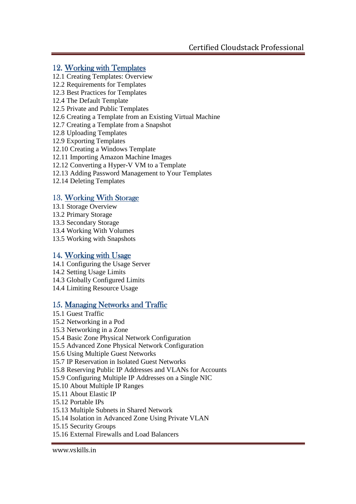### 12. Working with Templates

- 12.1 Creating Templates: Overview
- 12.2 Requirements for Templates
- 12.3 Best Practices for Templates
- 12.4 The Default Template
- 12.5 Private and Public Templates
- 12.6 Creating a Template from an Existing Virtual Machine
- 12.7 Creating a Template from a Snapshot
- 12.8 Uploading Templates
- 12.9 Exporting Templates
- 12.10 Creating a Windows Template
- 12.11 Importing Amazon Machine Images
- 12.12 Converting a Hyper-V VM to a Template
- 12.13 Adding Password Management to Your Templates
- 12.14 Deleting Templates

#### 13. Working With Storage

- 13.1 Storage Overview
- 13.2 Primary Storage
- 13.3 Secondary Storage
- 13.4 Working With Volumes
- 13.5 Working with Snapshots

### 14. Working with Usage

- 14.1 Configuring the Usage Server
- 14.2 Setting Usage Limits
- 14.3 Globally Configured Limits
- 14.4 Limiting Resource Usage

#### 15. Managing Networks and Traffic

- 15.1 Guest Traffic
- 15.2 Networking in a Pod
- 15.3 Networking in a Zone
- 15.4 Basic Zone Physical Network Configuration
- 15.5 Advanced Zone Physical Network Configuration
- 15.6 Using Multiple Guest Networks
- 15.7 IP Reservation in Isolated Guest Networks
- 15.8 Reserving Public IP Addresses and VLANs for Accounts
- 15.9 Configuring Multiple IP Addresses on a Single NIC
- 15.10 About Multiple IP Ranges
- 15.11 About Elastic IP
- 15.12 Portable IPs
- 15.13 Multiple Subnets in Shared Network
- 15.14 Isolation in Advanced Zone Using Private VLAN
- 15.15 Security Groups
- 15.16 External Firewalls and Load Balancers

www.vskills.in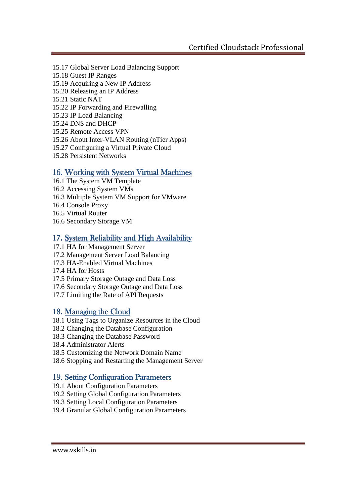- 15.17 Global Server Load Balancing Support
- 15.18 Guest IP Ranges
- 15.19 Acquiring a New IP Address
- 15.20 Releasing an IP Address
- 15.21 Static NAT
- 15.22 IP Forwarding and Firewalling
- 15.23 IP Load Balancing
- 15.24 DNS and DHCP
- 15.25 Remote Access VPN
- 15.26 About Inter-VLAN Routing (nTier Apps)
- 15.27 Configuring a Virtual Private Cloud
- 15.28 Persistent Networks

#### 16. Working with System Virtual Machines

- 16.1 The System VM Template
- 16.2 Accessing System VMs
- 16.3 Multiple System VM Support for VMware
- 16.4 Console Proxy
- 16.5 Virtual Router
- 16.6 Secondary Storage VM

### 17. System Reliability and High Availability

- 17.1 HA for Management Server
- 17.2 Management Server Load Balancing
- 17.3 HA-Enabled Virtual Machines
- 17.4 HA for Hosts
- 17.5 Primary Storage Outage and Data Loss
- 17.6 Secondary Storage Outage and Data Loss
- 17.7 Limiting the Rate of API Requests

### 18. Managing the Cloud

- 18.1 Using Tags to Organize Resources in the Cloud
- 18.2 Changing the Database Configuration
- 18.3 Changing the Database Password
- 18.4 Administrator Alerts
- 18.5 Customizing the Network Domain Name
- 18.6 Stopping and Restarting the Management Server

#### 19. Setting Configuration Parameters

- 19.1 About Configuration Parameters
- 19.2 Setting Global Configuration Parameters
- 19.3 Setting Local Configuration Parameters
- 19.4 Granular Global Configuration Parameters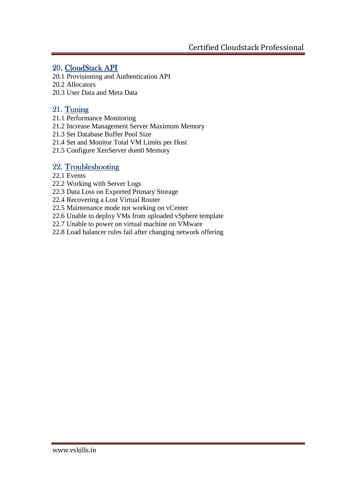### 20. CloudStack API

20.1 Provisioning and Authentication API

20.2 Allocators

20.3 User Data and Meta Data

## 21. Tuning

- 21.1 Performance Monitoring
- 21.2 Increase Management Server Maximum Memory
- 21.3 Set Database Buffer Pool Size
- 21.4 Set and Monitor Total VM Limits per Host
- 21.5 Configure XenServer dom0 Memory

### 22. Troubleshooting

#### 22.1 Events

- 22.2 Working with Server Logs
- 22.3 Data Loss on Exported Primary Storage
- 22.4 Recovering a Lost Virtual Router
- 22.5 Maintenance mode not working on vCenter
- 22.6 Unable to deploy VMs from uploaded vSphere template
- 22.7 Unable to power on virtual machine on VMware
- 22.8 Load balancer rules fail after changing network offering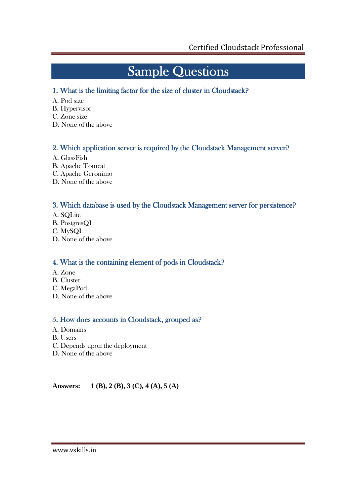# **Sample Questions**

### 1. What is the limiting factor for the size of cluster in Cloudstack?

- A. Pod size
- B. Hypervisor
- C. Zone size
- D. None of the above

#### 2. Which application server is required by the Cloudstack Management server?

- A. GlassFish
- B. Apache Tomcat
- C. Apache Geronimo
- D. None of the above

#### 3. Which database is used by the Cloudstack Management server for persistence?

- A. SQLite
- B. PostgresQL
- C. MySQL
- D. None of the above

### 4. What is the containing element of pods in Cloudstack?

- A. Zone
- B. Cluster
- C. MegaPod
- D. None of the above

### 5. How does accounts in Cloudstack, grouped as?

- A. Domains
- B. Users
- C. Depends upon the deployment
- D. None of the above

**Answers: 1 (B), 2 (B), 3 (C), 4 (A), 5 (A)**